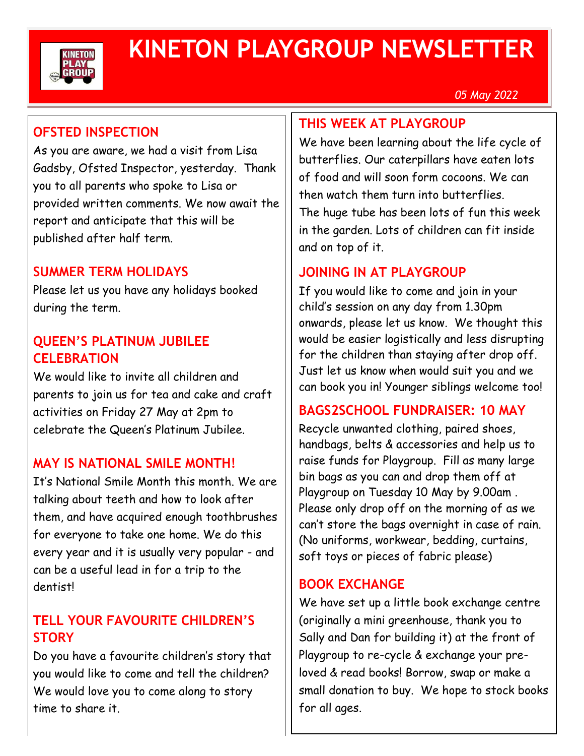

# **KINETON PLAYGROUP NEWSLETTER**

*05 May 2022*

## **OFSTED INSPECTION**

As you are aware, we had a visit from Lisa Gadsby, Ofsted Inspector, yesterday. Thank you to all parents who spoke to Lisa or provided written comments. We now await the report and anticipate that this will be published after half term.

### **SUMMER TERM HOLIDAYS**

Please let us you have any holidays booked during the term.

#### **QUEEN'S PLATINUM JUBILEE CELEBRATION**

We would like to invite all children and parents to join us for tea and cake and craft activities on Friday 27 May at 2pm to celebrate the Queen's Platinum Jubilee.

## **MAY IS NATIONAL SMILE MONTH!**

It's National Smile Month this month. We are talking about teeth and how to look after them, and have acquired enough toothbrushes for everyone to take one home. We do this every year and it is usually very popular - and can be a useful lead in for a trip to the dentist!

## **TELL YOUR FAVOURITE CHILDREN'S STORY**

Do you have a favourite children's story that you would like to come and tell the children? We would love you to come along to story time to share it.

#### **THIS WEEK AT PLAYGROUP**

We have been learning about the life cycle of butterflies. Our caterpillars have eaten lots of food and will soon form cocoons. We can then watch them turn into butterflies. The huge tube has been lots of fun this week in the garden. Lots of children can fit inside and on top of it.

## **JOINING IN AT PLAYGROUP**

If you would like to come and join in your child's session on any day from 1.30pm onwards, please let us know. We thought this would be easier logistically and less disrupting for the children than staying after drop off. Just let us know when would suit you and we can book you in! Younger siblings welcome too!

#### **BAGS2SCHOOL FUNDRAISER: 10 MAY**

Recycle unwanted clothing, paired shoes, handbags, belts & accessories and help us to raise funds for Playgroup. Fill as many large bin bags as you can and drop them off at Playgroup on Tuesday 10 May by 9.00am . Please only drop off on the morning of as we can't store the bags overnight in case of rain. (No uniforms, workwear, bedding, curtains, soft toys or pieces of fabric please)

#### **BOOK EXCHANGE**

We have set up a little book exchange centre (originally a mini greenhouse, thank you to Sally and Dan for building it) at the front of Playgroup to re-cycle & exchange your preloved & read books! Borrow, swap or make a small donation to buy. We hope to stock books for all ages.